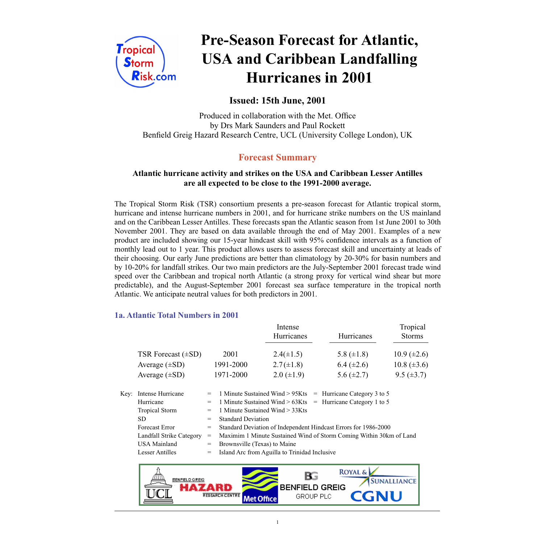

# **Pre-Season Forecast for Atlantic, USA and Caribbean Landfalling Hurricanes in 2001**

# **Issued: 15th June, 2001**

Produced in collaboration with the Met. Office by Drs Mark Saunders and Paul Rockett Benfield Greig Hazard Research Centre, UCL (University College London), UK

# **Forecast Summary**

# **Atlantic hurricane activity and strikes on the USA and Caribbean Lesser Antilles are all expected to be close to the 1991-2000 average.**

The Tropical Storm Risk (TSR) consortium presents a pre-season forecast for Atlantic tropical storm, hurricane and intense hurricane numbers in 2001, and for hurricane strike numbers on the US mainland and on the Caribbean Lesser Antilles. These forecasts span the Atlantic season from 1st June 2001 to 30th November 2001. They are based on data available through the end of May 2001. Examples of a new product are included showing our 15-year hindcast skill with 95% confidence intervals as a function of monthly lead out to 1 year. This product allows users to assess forecast skill and uncertainty at leads of their choosing. Our early June predictions are better than climatology by 20-30% for basin numbers and by 10-20% for landfall strikes. Our two main predictors are the July-September 2001 forecast trade wind speed over the Caribbean and tropical north Atlantic (a strong proxy for vertical wind shear but more predictable), and the August-September 2001 forecast sea surface temperature in the tropical north Atlantic. We anticipate neutral values for both predictors in 2001.

# **1a. Atlantic Total Numbers in 2001**

|                         |           | Intense<br>Hurricanes | Hurricanes      | Tropical<br><b>Storms</b> |
|-------------------------|-----------|-----------------------|-----------------|---------------------------|
| TSR Forecast $(\pm SD)$ | 2001      | $2.4(\pm 1.5)$        | 5.8 $(\pm 1.8)$ | $10.9 \ (\pm 2.6)$        |
| Average $(\pm SD)$      | 1991-2000 | $2.7(\pm 1.8)$        | $6.4 (\pm 2.6)$ | $10.8 (\pm 3.6)$          |
| Average $(\pm SD)$      | 1971-2000 | $2.0 \ (\pm 1.9)$     | 5.6 $(\pm 2.7)$ | $9.5 (\pm 3.7)$           |

| Key: | Intense Hurricane        |     | $=$ 1 Minute Sustained Wind > 95Kts $=$ Hurricane Category 3 to 5   |  |  |
|------|--------------------------|-----|---------------------------------------------------------------------|--|--|
|      | Hurricane                |     | $=$ 1 Minute Sustained Wind > 63Kts $=$ Hurricane Category 1 to 5   |  |  |
|      | <b>Tropical Storm</b>    |     | $=$ 1 Minute Sustained Wind $>$ 33Kts                               |  |  |
|      | SD.                      | $=$ | <b>Standard Deviation</b>                                           |  |  |
|      | Forecast Error           | $=$ | Standard Deviation of Independent Hindcast Errors for 1986-2000     |  |  |
|      | Landfall Strike Category | $=$ | Maximim 1 Minute Sustained Wind of Storm Coming Within 30km of Land |  |  |
|      | <b>USA Mainland</b>      | $=$ | Brownsville (Texas) to Maine                                        |  |  |
|      | <b>Lesser Antilles</b>   |     | $=$ Island Arc from Aguilla to Trinidad Inclusive                   |  |  |
|      |                          |     |                                                                     |  |  |

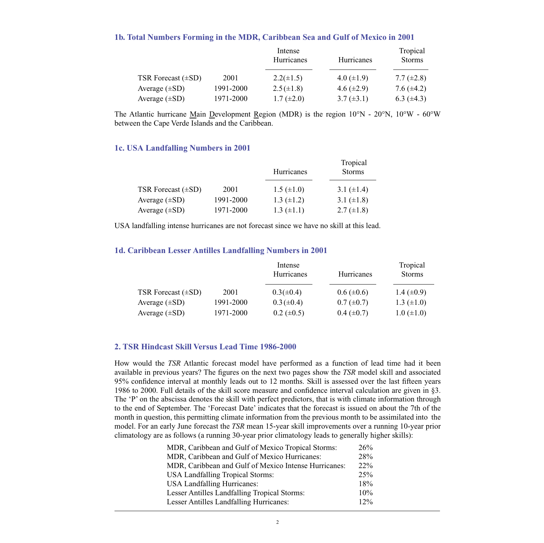## **1b. Total Numbers Forming in the MDR, Caribbean Sea and Gulf of Mexico in 2001**

|                         |           | Intense<br>Hurricanes | <b>Hurricanes</b> | Tropical<br><b>Storms</b> |
|-------------------------|-----------|-----------------------|-------------------|---------------------------|
| TSR Forecast $(\pm SD)$ | 2001      | $2.2(\pm 1.5)$        | 4.0 $(\pm 1.9)$   | 7.7 $(\pm 2.8)$           |
| Average $(\pm SD)$      | 1991-2000 | $2.5(\pm 1.8)$        | 4.6 $(\pm 2.9)$   | 7.6 $(\pm 4.2)$           |
| Average $(\pm SD)$      | 1971-2000 | $1.7 (\pm 2.0)$       | $3.7 (\pm 3.1)$   | 6.3 $(\pm 4.3)$           |

The Atlantic hurricane Main Development Region (MDR) is the region 10°N - 20°N, 10°W - 60°W between the Cape Verde Islands and the Caribbean.

## **1c. USA Landfalling Numbers in 2001**

|                         |           | Hurricanes        | Tropical<br><b>Storms</b> |  |
|-------------------------|-----------|-------------------|---------------------------|--|
| TSR Forecast $(\pm SD)$ | 2001      | $1.5 \ (\pm 1.0)$ | 3.1 $(\pm 1.4)$           |  |
| Average $(\pm SD)$      | 1991-2000 | 1.3 $(\pm 1.2)$   | 3.1 $(\pm 1.8)$           |  |
| Average $(\pm SD)$      | 1971-2000 | $1.3 \ (\pm 1.1)$ | 2.7 $(\pm 1.8)$           |  |

USA landfalling intense hurricanes are not forecast since we have no skill at this lead.

## **1d. Caribbean Lesser Antilles Landfalling Numbers in 2001**

|                         |           | Intense<br>Hurricanes | Hurricanes      | Tropical<br><b>Storms</b> |
|-------------------------|-----------|-----------------------|-----------------|---------------------------|
| TSR Forecast $(\pm SD)$ | 2001      | $0.3(\pm 0.4)$        | $0.6 (\pm 0.6)$ | 1.4 $(\pm 0.9)$           |
| Average $(\pm SD)$      | 1991-2000 | $0.3 (\pm 0.4)$       | $0.7 (\pm 0.7)$ | $1.3 \ (\pm 1.0)$         |
| Average $(\pm SD)$      | 1971-2000 | $0.2 \ (\pm 0.5)$     | $0.4~(\pm 0.7)$ | $1.0 (\pm 1.0)$           |

# **2. TSR Hindcast Skill Versus Lead Time 1986-2000**

How would the *TSR* Atlantic forecast model have performed as a function of lead time had it been available in previous years? The figures on the next two pages show the *TSR* model skill and associated 95% confidence interval at monthly leads out to 12 months. Skill is assessed over the last fifteen years 1986 to 2000. Full details of the skill score measure and confidence interval calculation are given in §3. The 'P' on the abscissa denotes the skill with perfect predictors, that is with climate information through to the end of September. The 'Forecast Date' indicates that the forecast is issued on about the 7th of the month in question, this permitting climate information from the previous month to be assimilated into the model. For an early June forecast the *TSR* mean 15-year skill improvements over a running 10-year prior climatology are as follows (a running 30-year prior climatology leads to generally higher skills):

| MDR, Caribbean and Gulf of Mexico Tropical Storms:    | 26%    |
|-------------------------------------------------------|--------|
| MDR, Caribbean and Gulf of Mexico Hurricanes:         | 28%    |
| MDR, Caribbean and Gulf of Mexico Intense Hurricanes: | $22\%$ |
| <b>USA Landfalling Tropical Storms:</b>               | 25%    |
| <b>USA Landfalling Hurricanes:</b>                    | 18%    |
| <b>Lesser Antilles Landfalling Tropical Storms:</b>   | 10%    |
| <b>Lesser Antilles Landfalling Hurricanes:</b>        | $12\%$ |
|                                                       |        |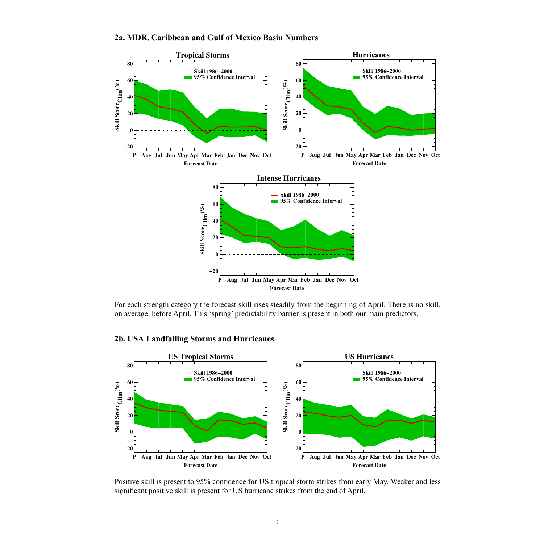

#### **2a. MDR, Caribbean and Gulf of Mexico Basin Numbers**

For each strength category the forecast skill rises steadily from the beginning of April. There is no skill, on average, before April. This 'spring' predictability barrier is present in both our main predictors.

# **2b. USA Landfalling Storms and Hurricanes**



Positive skill is present to 95% confidence for US tropical storm strikes from early May. Weaker and less significant positive skill is present for US hurricane strikes from the end of April.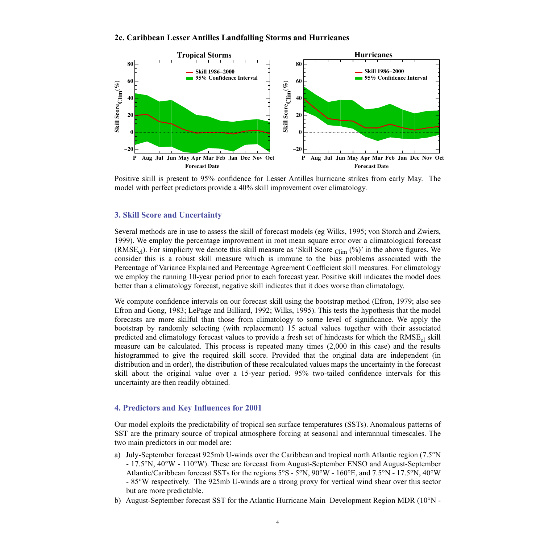#### **2c. Caribbean Lesser Antilles Landfalling Storms and Hurricanes**



Positive skill is present to 95% confidence for Lesser Antilles hurricane strikes from early May. The model with perfect predictors provide a 40% skill improvement over climatology.

## **3. Skill Score and Uncertainty**

Several methods are in use to assess the skill of forecast models (eg Wilks, 1995; von Storch and Zwiers, 1999). We employ the percentage improvement in root mean square error over a climatological forecast (RMSE<sub>cl</sub>). For simplicity we denote this skill measure as 'Skill Score <sub>Clim</sub> (%)' in the above figures. We consider this is a robust skill measure which is immune to the bias problems associated with the Percentage of Variance Explained and Percentage Agreement Coefficient skill measures. For climatology we employ the running 10-year period prior to each forecast year. Positive skill indicates the model does better than a climatology forecast, negative skill indicates that it does worse than climatology.

We compute confidence intervals on our forecast skill using the bootstrap method (Efron, 1979; also see Efron and Gong, 1983; LePage and Billiard, 1992; Wilks, 1995). This tests the hypothesis that the model forecasts are more skilful than those from climatology to some level of significance. We apply the bootstrap by randomly selecting (with replacement) 15 actual values together with their associated predicted and climatology forecast values to provide a fresh set of hindcasts for which the RMSE<sub>cl</sub> skill measure can be calculated. This process is repeated many times (2,000 in this case) and the results histogrammed to give the required skill score. Provided that the original data are independent (in distribution and in order), the distribution of these recalculated values maps the uncertainty in the forecast skill about the original value over a 15-year period. 95% two-tailed confidence intervals for this uncertainty are then readily obtained.

#### **4. Predictors and Key Influences for 2001**

Our model exploits the predictability of tropical sea surface temperatures (SSTs). Anomalous patterns of SST are the primary source of tropical atmosphere forcing at seasonal and interannual timescales. The two main predictors in our model are:

- a) July-September forecast 925mb U-winds over the Caribbean and tropical north Atlantic region (7.5°N - 17.5°N, 40°W - 110°W). These are forecast from August-September ENSO and August-September Atlantic/Caribbean forecast SSTs for the regions 5°S - 5°N, 90°W - 160°E, and 7.5°N - 17.5°N, 40°W - 85°W respectively. The 925mb U-winds are a strong proxy for vertical wind shear over this sector but are more predictable.
- b) August-September forecast SST for the Atlantic Hurricane Main Development Region MDR (10°N -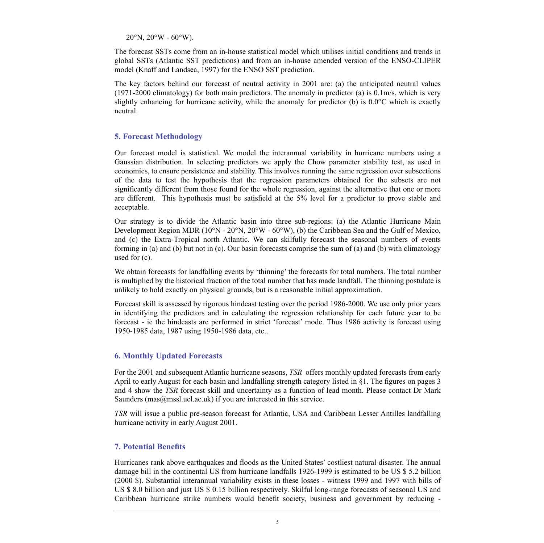$20^{\circ}$ N,  $20^{\circ}$ W -  $60^{\circ}$ W).

The forecast SSTs come from an in-house statistical model which utilises initial conditions and trends in global SSTs (Atlantic SST predictions) and from an in-house amended version of the ENSO-CLIPER model (Knaff and Landsea, 1997) for the ENSO SST prediction.

The key factors behind our forecast of neutral activity in 2001 are: (a) the anticipated neutral values (1971-2000 climatology) for both main predictors. The anomaly in predictor (a) is 0.1m/s, which is very slightly enhancing for hurricane activity, while the anomaly for predictor (b) is 0.0°C which is exactly neutral.

# **5. Forecast Methodology**

Our forecast model is statistical. We model the interannual variability in hurricane numbers using a Gaussian distribution. In selecting predictors we apply the Chow parameter stability test, as used in economics, to ensure persistence and stability. This involves running the same regression over subsections of the data to test the hypothesis that the regression parameters obtained for the subsets are not significantly different from those found for the whole regression, against the alternative that one or more are different. This hypothesis must be satisfield at the 5% level for a predictor to prove stable and acceptable.

Our strategy is to divide the Atlantic basin into three sub-regions: (a) the Atlantic Hurricane Main Development Region MDR (10°N - 20°N, 20°W - 60°W), (b) the Caribbean Sea and the Gulf of Mexico, and (c) the Extra-Tropical north Atlantic. We can skilfully forecast the seasonal numbers of events forming in (a) and (b) but not in (c). Our basin forecasts comprise the sum of (a) and (b) with climatology used for (c).

We obtain forecasts for landfalling events by 'thinning' the forecasts for total numbers. The total number is multiplied by the historical fraction of the total number that has made landfall. The thinning postulate is unlikely to hold exactly on physical grounds, but is a reasonable initial approximation.

Forecast skill is assessed by rigorous hindcast testing over the period 1986-2000. We use only prior years in identifying the predictors and in calculating the regression relationship for each future year to be forecast - ie the hindcasts are performed in strict 'forecast' mode. Thus 1986 activity is forecast using 1950-1985 data, 1987 using 1950-1986 data, etc..

# **6. Monthly Updated Forecasts**

For the 2001 and subsequent Atlantic hurricane seasons, *TSR* offers monthly updated forecasts from early April to early August for each basin and landfalling strength category listed in §1. The figures on pages 3 and 4 show the *TSR* forecast skill and uncertainty as a function of lead month. Please contact Dr Mark Saunders ( $\text{mas}(a\text{ms}1.\text{uc}1.\text{ac}.\text{uk})$  if you are interested in this service.

*TSR* will issue a public pre-season forecast for Atlantic, USA and Caribbean Lesser Antilles landfalling hurricane activity in early August 2001.

#### **7. Potential Benefits**

Hurricanes rank above earthquakes and floods as the United States' costliest natural disaster. The annual damage bill in the continental US from hurricane landfalls 1926-1999 is estimated to be US \$ 5.2 billion (2000 \$). Substantial interannual variability exists in these losses - witness 1999 and 1997 with bills of US \$ 8.0 billion and just US \$ 0.15 billion respectively. Skilful long-range forecasts of seasonal US and Caribbean hurricane strike numbers would benefit society, business and government by reducing -